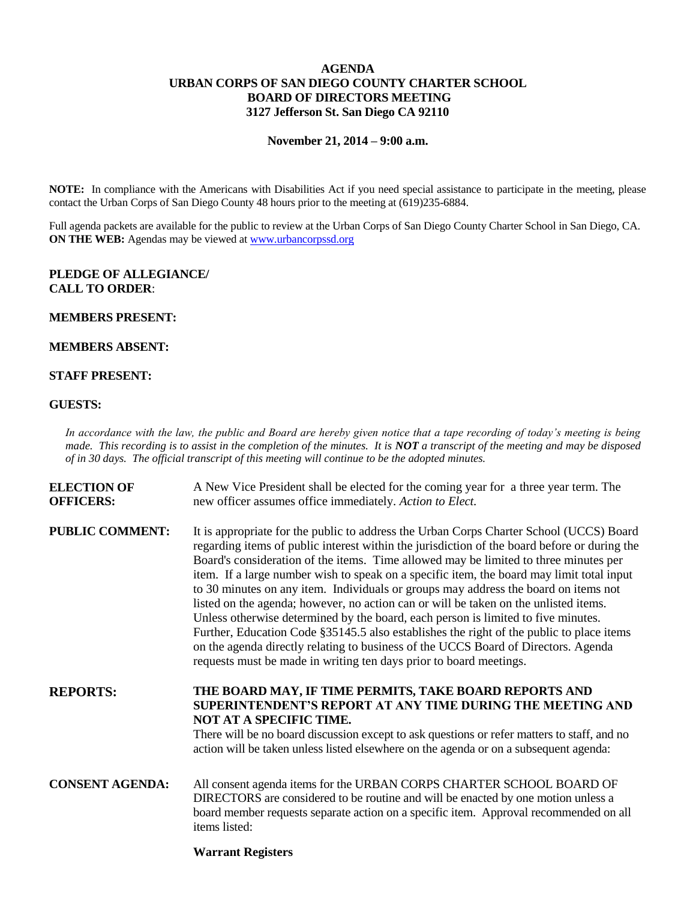## **AGENDA URBAN CORPS OF SAN DIEGO COUNTY CHARTER SCHOOL BOARD OF DIRECTORS MEETING 3127 Jefferson St. San Diego CA 92110**

**November 21, 2014 – 9:00 a.m.**

**NOTE:** In compliance with the Americans with Disabilities Act if you need special assistance to participate in the meeting, please contact the Urban Corps of San Diego County 48 hours prior to the meeting at (619)235-6884.

Full agenda packets are available for the public to review at the Urban Corps of San Diego County Charter School in San Diego, CA. **ON THE WEB:** Agendas may be viewed at [www.urbancorpssd.org](http://www.urbancorpssd.org/)

## **PLEDGE OF ALLEGIANCE/ CALL TO ORDER**:

#### **MEMBERS PRESENT:**

#### **MEMBERS ABSENT:**

## **STAFF PRESENT:**

#### **GUESTS:**

*In accordance with the law, the public and Board are hereby given notice that a tape recording of today's meeting is being made. This recording is to assist in the completion of the minutes. It is NOT a transcript of the meeting and may be disposed of in 30 days. The official transcript of this meeting will continue to be the adopted minutes.*

| <b>ELECTION OF</b><br><b>OFFICERS:</b> | A New Vice President shall be elected for the coming year for a three year term. The<br>new officer assumes office immediately. Action to Elect.                                                                                                                                                                                                                                                                                                                                                                                                                                                                                                                                                                                                                                                                                                                                                         |
|----------------------------------------|----------------------------------------------------------------------------------------------------------------------------------------------------------------------------------------------------------------------------------------------------------------------------------------------------------------------------------------------------------------------------------------------------------------------------------------------------------------------------------------------------------------------------------------------------------------------------------------------------------------------------------------------------------------------------------------------------------------------------------------------------------------------------------------------------------------------------------------------------------------------------------------------------------|
| <b>PUBLIC COMMENT:</b>                 | It is appropriate for the public to address the Urban Corps Charter School (UCCS) Board<br>regarding items of public interest within the jurisdiction of the board before or during the<br>Board's consideration of the items. Time allowed may be limited to three minutes per<br>item. If a large number wish to speak on a specific item, the board may limit total input<br>to 30 minutes on any item. Individuals or groups may address the board on items not<br>listed on the agenda; however, no action can or will be taken on the unlisted items.<br>Unless otherwise determined by the board, each person is limited to five minutes.<br>Further, Education Code §35145.5 also establishes the right of the public to place items<br>on the agenda directly relating to business of the UCCS Board of Directors. Agenda<br>requests must be made in writing ten days prior to board meetings. |
| <b>REPORTS:</b>                        | THE BOARD MAY, IF TIME PERMITS, TAKE BOARD REPORTS AND<br><b>SUPERINTENDENT'S REPORT AT ANY TIME DURING THE MEETING AND</b><br>NOT AT A SPECIFIC TIME.<br>There will be no board discussion except to ask questions or refer matters to staff, and no<br>action will be taken unless listed elsewhere on the agenda or on a subsequent agenda:                                                                                                                                                                                                                                                                                                                                                                                                                                                                                                                                                           |
| <b>CONSENT AGENDA:</b>                 | All consent agenda items for the URBAN CORPS CHARTER SCHOOL BOARD OF<br>DIRECTORS are considered to be routine and will be enacted by one motion unless a<br>board member requests separate action on a specific item. Approval recommended on all<br>items listed:                                                                                                                                                                                                                                                                                                                                                                                                                                                                                                                                                                                                                                      |

# **Warrant Registers**